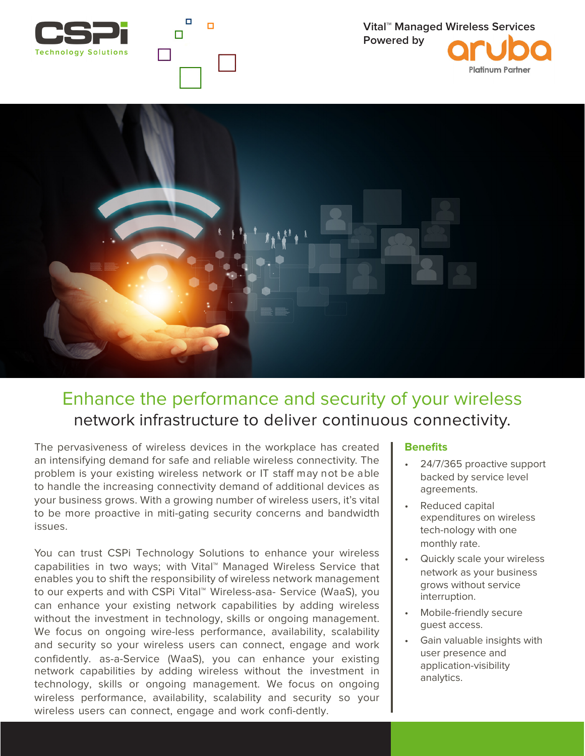

п

П

 $\Box$ 

**Platinum Partner** 



## Enhance the performance and security of your wireless network infrastructure to deliver continuous connectivity.

The pervasiveness of wireless devices in the workplace has created an intensifying demand for safe and reliable wireless connectivity. The problem is your existing wireless network or IT staff may not be able to handle the increasing connectivity demand of additional devices as your business grows. With a growing number of wireless users, it's vital to be more proactive in miti-gating security concerns and bandwidth issues.

You can trust CSPi Technology Solutions to enhance your wireless capabilities in two ways; with Vital™ Managed Wireless Service that enables you to shift the responsibility of wireless network management to our experts and with CSPi Vital™ Wireless-asa- Service (WaaS), you can enhance your existing network capabilities by adding wireless without the investment in technology, skills or ongoing management. We focus on ongoing wire-less performance, availability, scalability and security so your wireless users can connect, engage and work confidently. as-a-Service (WaaS), you can enhance your existing network capabilities by adding wireless without the investment in technology, skills or ongoing management. We focus on ongoing wireless performance, availability, scalability and security so your wireless users can connect, engage and work confi-dently.

## **Benefits**

- 24/7/365 proactive support backed by service level agreements.
- Reduced capital expenditures on wireless tech-nology with one monthly rate.
- Quickly scale your wireless network as your business grows without service interruption.
- Mobile-friendly secure guest access.
- Gain valuable insights with user presence and application-visibility analytics.